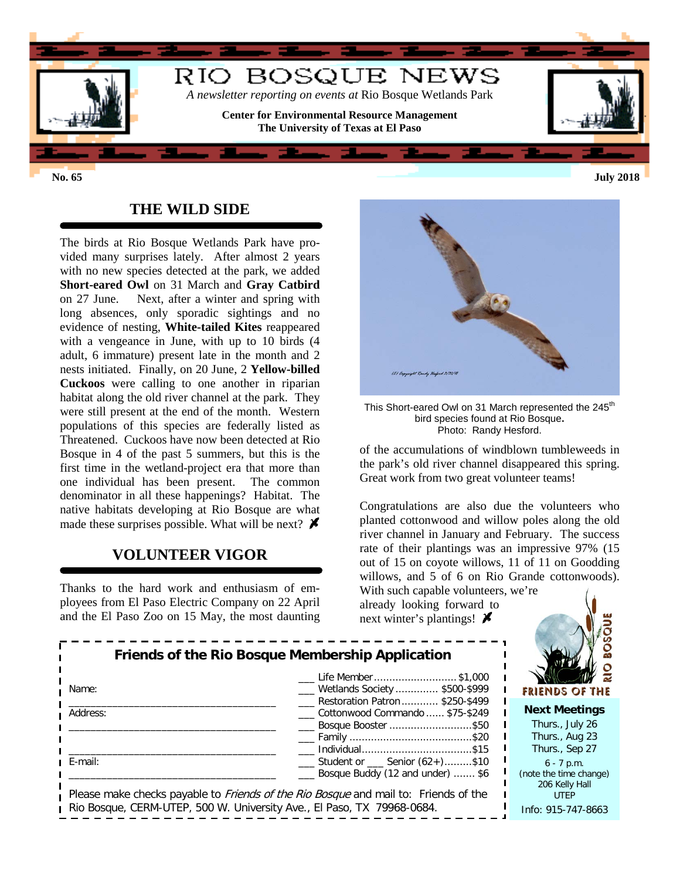

## **THE WILD SIDE**

The birds at Rio Bosque Wetlands Park have provided many surprises lately. After almost 2 years with no new species detected at the park, we added **Short-eared Owl** on 31 March and **Gray Catbird** on 27 June. Next, after a winter and spring with long absences, only sporadic sightings and no evidence of nesting, **White-tailed Kites** reappeared with a vengeance in June, with up to 10 birds (4 adult, 6 immature) present late in the month and 2 nests initiated. Finally, on 20 June, 2 **Yellow-billed Cuckoos** were calling to one another in riparian habitat along the old river channel at the park. They were still present at the end of the month. Western populations of this species are federally listed as Threatened. Cuckoos have now been detected at Rio Bosque in 4 of the past 5 summers, but this is the first time in the wetland-project era that more than one individual has been present. The common denominator in all these happenings? Habitat. The native habitats developing at Rio Bosque are what made these surprises possible. What will be next?  $\blacktriangleright$ 

#### **VOLUNTEER VIGOR**

Thanks to the hard work and enthusiasm of employees from El Paso Electric Company on 22 April and the El Paso Zoo on 15 May, the most daunting



This Short-eared Owl on 31 March represented the 245<sup>th</sup> bird species found at Rio Bosque**.**  Photo: Randy Hesford.

of the accumulations of windblown tumbleweeds in the park's old river channel disappeared this spring. Great work from two great volunteer teams!

Congratulations are also due the volunteers who planted cottonwood and willow poles along the old river channel in January and February. The success rate of their plantings was an impressive 97% (15 out of 15 on coyote willows, 11 of 11 on Goodding willows, and 5 of 6 on Rio Grande cottonwoods).

With such capable volunteers, we're already looking forward to next winter's plantings!  $\blacktriangleright$ 

| <b>FRIENDS OF THE</b>  |
|------------------------|
| <b>Next Meetings</b>   |
| Thurs., July 26        |
| Thurs., Aug 23         |
| Thurs., Sep 27         |
|                        |
| (note the time change) |
| 206 Kelly Hall         |
| Info: 915-747-8663     |
|                        |